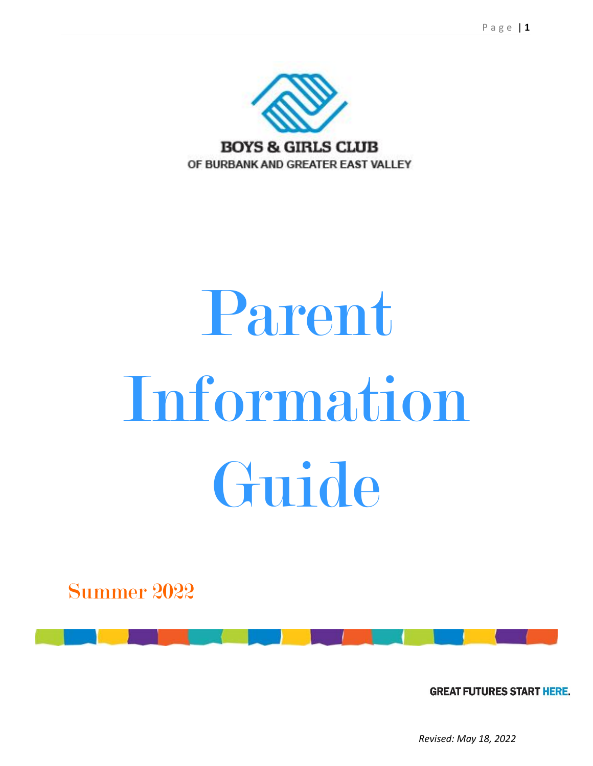

# Parent Information Guide

Summer 2022

**GREAT FUTURES START HERE.** 

*Revised: May 18, 2022*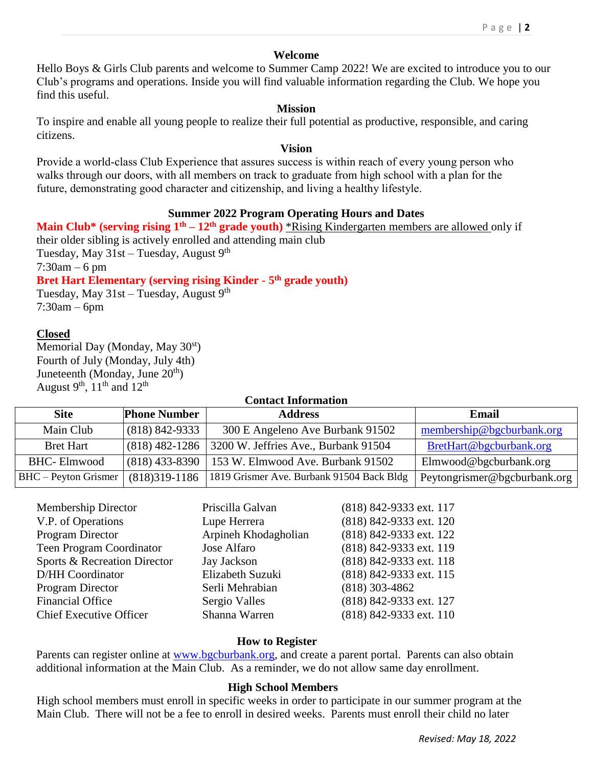#### **Welcome**

Hello Boys & Girls Club parents and welcome to Summer Camp 2022! We are excited to introduce you to our Club's programs and operations. Inside you will find valuable information regarding the Club. We hope you find this useful.

#### **Mission**

To inspire and enable all young people to realize their full potential as productive, responsible, and caring citizens.

#### **Vision**

Provide a world-class Club Experience that assures success is within reach of every young person who walks through our doors, with all members on track to graduate from high school with a plan for the future, demonstrating good character and citizenship, and living a healthy lifestyle.

## **Summer 2022 Program Operating Hours and Dates**

**Main Club\* (serving rising 1th – 12th grade youth)** \*Rising Kindergarten members are allowed only if their older sibling is actively enrolled and attending main club Tuesday, May  $31st$  – Tuesday, August 9<sup>th</sup> 7:30am – 6 pm **Bret Hart Elementary (serving rising Kinder - 5 th grade youth)** Tuesday, May  $31st$  – Tuesday, August 9<sup>th</sup>

7:30am – 6pm

## **Closed**

Memorial Day (Monday, May 30<sup>st</sup>) Fourth of July (Monday, July 4th) Juneteenth (Monday, June  $20<sup>th</sup>$ ) August 9<sup>th</sup>, 11<sup>th</sup> and 12<sup>th</sup>

# **Contact Information Site Phone Number Address Email** Main Club (818) 842-9333 300 E Angeleno Ave Burbank 91502 [membership@bgcburbank.org](mailto:membership@bgcburbank.org) Bret Hart (818) 482-1286 3200 W. Jeffries Ave., Burbank 91504 [BretHart@bgcburbank.org](mailto:BretHart@bgcburbank.org) BHC- Elmwood (818) 433-8390 | 153 W. Elmwood Ave. Burbank 91502 | Elmwood@bgcburbank.org BHC – Peyton Grismer (818)319-1186 1819 Grismer Ave. Burbank 91504 Back Bldg Peytongrismer@bgcburbank.org

| Membership Director            | Priscilla Galvan     | (818) 842-9333 ext. 117 |
|--------------------------------|----------------------|-------------------------|
| V.P. of Operations             | Lupe Herrera         | (818) 842-9333 ext. 120 |
| Program Director               | Arpineh Khodagholian | (818) 842-9333 ext. 122 |
| Teen Program Coordinator       | Jose Alfaro          | (818) 842-9333 ext. 119 |
| Sports & Recreation Director   | Jay Jackson          | (818) 842-9333 ext. 118 |
| D/HH Coordinator               | Elizabeth Suzuki     | (818) 842-9333 ext. 115 |
| Program Director               | Serli Mehrabian      | $(818)$ 303-4862        |
| <b>Financial Office</b>        | Sergio Valles        | (818) 842-9333 ext. 127 |
| <b>Chief Executive Officer</b> | Shanna Warren        | (818) 842-9333 ext. 110 |
|                                |                      |                         |

#### **How to Register**

Parents can register online at [www.bgcburbank.org,](http://www.bgcburbank.org/) and create a parent portal. Parents can also obtain additional information at the Main Club. As a reminder, we do not allow same day enrollment.

#### **High School Members**

High school members must enroll in specific weeks in order to participate in our summer program at the Main Club. There will not be a fee to enroll in desired weeks. Parents must enroll their child no later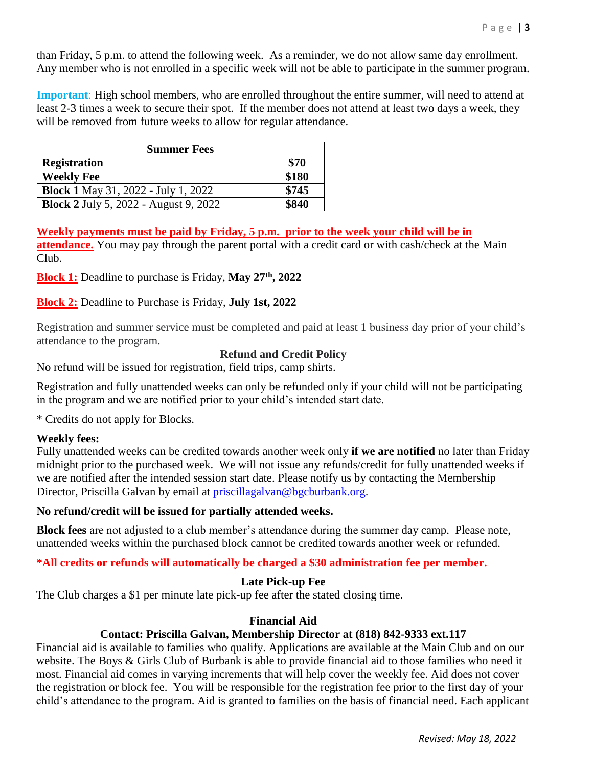than Friday, 5 p.m. to attend the following week. As a reminder, we do not allow same day enrollment. Any member who is not enrolled in a specific week will not be able to participate in the summer program.

**Important**: High school members, who are enrolled throughout the entire summer, will need to attend at least 2-3 times a week to secure their spot. If the member does not attend at least two days a week, they will be removed from future weeks to allow for regular attendance.

| <b>Summer Fees</b>                           |       |  |
|----------------------------------------------|-------|--|
| <b>Registration</b>                          | \$70  |  |
| <b>Weekly Fee</b>                            | \$180 |  |
| <b>Block 1 May 31, 2022 - July 1, 2022</b>   | \$745 |  |
| <b>Block 2 July 5, 2022 - August 9, 2022</b> | \$840 |  |

**Weekly payments must be paid by Friday, 5 p.m. prior to the week your child will be in attendance.** You may pay through the parent portal with a credit card or with cash/check at the Main Club.

**Block 1:** Deadline to purchase is Friday, **May 27th , 2022**

## **Block 2:** Deadline to Purchase is Friday, **July 1st, 2022**

Registration and summer service must be completed and paid at least 1 business day prior of your child's attendance to the program.

## **Refund and Credit Policy**

No refund will be issued for registration, field trips, camp shirts.

Registration and fully unattended weeks can only be refunded only if your child will not be participating in the program and we are notified prior to your child's intended start date.

\* Credits do not apply for Blocks.

## **Weekly fees:**

Fully unattended weeks can be credited towards another week only **if we are notified** no later than Friday midnight prior to the purchased week. We will not issue any refunds/credit for fully unattended weeks if we are notified after the intended session start date. Please notify us by contacting the Membership Director, Priscilla Galvan by email at [priscillagalvan@bgcburbank.org.](mailto:priscillagalvan@bgcburbank.org)

## **No refund/credit will be issued for partially attended weeks.**

**Block fees** are not adjusted to a club member's attendance during the summer day camp. Please note, unattended weeks within the purchased block cannot be credited towards another week or refunded.

## **\*All credits or refunds will automatically be charged a \$30 administration fee per member.**

## **Late Pick-up Fee**

The Club charges a \$1 per minute late pick-up fee after the stated closing time.

## **Financial Aid**

## **Contact: Priscilla Galvan, Membership Director at (818) 842-9333 ext.117**

Financial aid is available to families who qualify. Applications are available at the Main Club and on our website. The Boys & Girls Club of Burbank is able to provide financial aid to those families who need it most. Financial aid comes in varying increments that will help cover the weekly fee. Aid does not cover the registration or block fee. You will be responsible for the registration fee prior to the first day of your child's attendance to the program. Aid is granted to families on the basis of financial need. Each applicant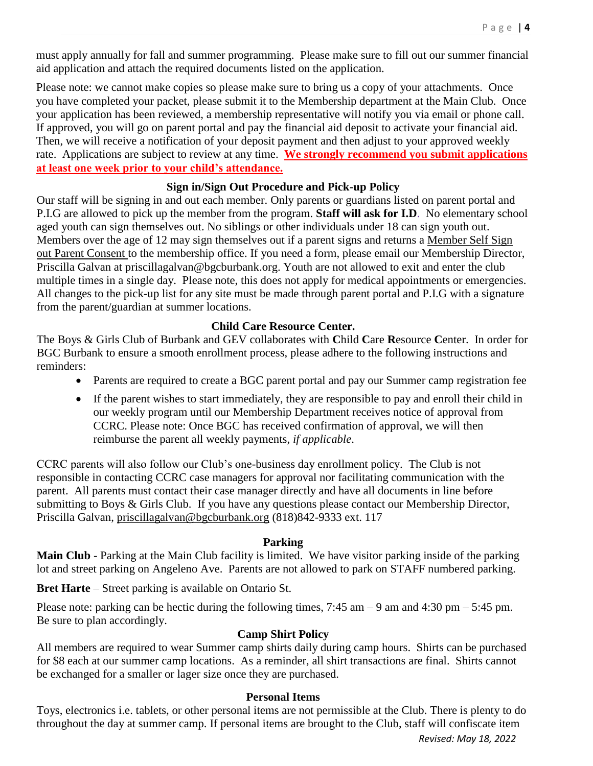must apply annually for fall and summer programming. Please make sure to fill out our summer financial aid application and attach the required documents listed on the application.

Please note: we cannot make copies so please make sure to bring us a copy of your attachments. Once you have completed your packet, please submit it to the Membership department at the Main Club. Once your application has been reviewed, a membership representative will notify you via email or phone call. If approved, you will go on parent portal and pay the financial aid deposit to activate your financial aid. Then, we will receive a notification of your deposit payment and then adjust to your approved weekly rate. Applications are subject to review at any time. **We strongly recommend you submit applications at least one week prior to your child's attendance.**

## **Sign in/Sign Out Procedure and Pick-up Policy**

Our staff will be signing in and out each member. Only parents or guardians listed on parent portal and P.I.G are allowed to pick up the member from the program. **Staff will ask for I.D**. No elementary school aged youth can sign themselves out. No siblings or other individuals under 18 can sign youth out. Members over the age of 12 may sign themselves out if a parent signs and returns a Member Self Sign out Parent Consent to the membership office. If you need a form, please email our Membership Director, Priscilla Galvan at priscillagalvan@bgcburbank.org. Youth are not allowed to exit and enter the club multiple times in a single day. Please note, this does not apply for medical appointments or emergencies. All changes to the pick-up list for any site must be made through parent portal and P.I.G with a signature from the parent/guardian at summer locations.

## **Child Care Resource Center.**

The Boys & Girls Club of Burbank and GEV collaborates with **C**hild **C**are **R**esource **C**enter. In order for BGC Burbank to ensure a smooth enrollment process, please adhere to the following instructions and reminders:

- Parents are required to create a BGC parent portal and pay our Summer camp registration fee
- If the parent wishes to start immediately, they are responsible to pay and enroll their child in our weekly program until our Membership Department receives notice of approval from CCRC. Please note: Once BGC has received confirmation of approval, we will then reimburse the parent all weekly payments, *if applicable*.

CCRC parents will also follow our Club's one-business day enrollment policy. The Club is not responsible in contacting CCRC case managers for approval nor facilitating communication with the parent. All parents must contact their case manager directly and have all documents in line before submitting to Boys & Girls Club. If you have any questions please contact our Membership Director, Priscilla Galvan, [priscillagalvan@bgcburbank.org](mailto:priscillagalvan@bgcburbank.org) (818)842-9333 ext. 117

## **Parking**

**Main Club** - Parking at the Main Club facility is limited. We have visitor parking inside of the parking lot and street parking on Angeleno Ave. Parents are not allowed to park on STAFF numbered parking.

**Bret Harte** – Street parking is available on Ontario St.

Please note: parking can be hectic during the following times,  $7:45$  am  $-9$  am and  $4:30$  pm  $-5:45$  pm. Be sure to plan accordingly.

## **Camp Shirt Policy**

All members are required to wear Summer camp shirts daily during camp hours. Shirts can be purchased for \$8 each at our summer camp locations. As a reminder, all shirt transactions are final. Shirts cannot be exchanged for a smaller or lager size once they are purchased.

## **Personal Items**

Toys, electronics i.e. tablets, or other personal items are not permissible at the Club. There is plenty to do throughout the day at summer camp. If personal items are brought to the Club, staff will confiscate item

*Revised: May 18, 2022*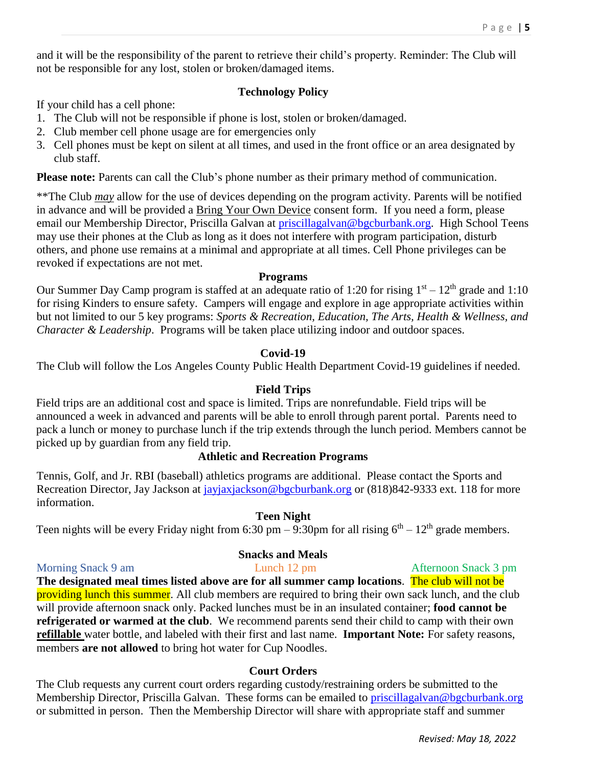and it will be the responsibility of the parent to retrieve their child's property. Reminder: The Club will not be responsible for any lost, stolen or broken/damaged items.

## **Technology Policy**

If your child has a cell phone:

- 1. The Club will not be responsible if phone is lost, stolen or broken/damaged.
- 2. Club member cell phone usage are for emergencies only
- 3. Cell phones must be kept on silent at all times, and used in the front office or an area designated by club staff.

**Please note:** Parents can call the Club's phone number as their primary method of communication.

\*\*The Club *may* allow for the use of devices depending on the program activity. Parents will be notified in advance and will be provided a Bring Your Own Device consent form. If you need a form, please email our Membership Director, Priscilla Galvan at *priscillagalvan@bgcburbank.org*. High School Teens may use their phones at the Club as long as it does not interfere with program participation, disturb others, and phone use remains at a minimal and appropriate at all times. Cell Phone privileges can be revoked if expectations are not met.

#### **Programs**

Our Summer Day Camp program is staffed at an adequate ratio of 1:20 for rising  $1<sup>st</sup> - 12<sup>th</sup>$  grade and 1:10 for rising Kinders to ensure safety. Campers will engage and explore in age appropriate activities within but not limited to our 5 key programs: *Sports & Recreation, Education, The Arts, Health & Wellness, and Character & Leadership*. Programs will be taken place utilizing indoor and outdoor spaces.

## **Covid-19**

The Club will follow the Los Angeles County Public Health Department Covid-19 guidelines if needed.

## **Field Trips**

Field trips are an additional cost and space is limited. Trips are nonrefundable. Field trips will be announced a week in advanced and parents will be able to enroll through parent portal. Parents need to pack a lunch or money to purchase lunch if the trip extends through the lunch period. Members cannot be picked up by guardian from any field trip.

## **Athletic and Recreation Programs**

Tennis, Golf, and Jr. RBI (baseball) athletics programs are additional. Please contact the Sports and Recreation Director, Jay Jackson at [jayjaxjackson@bgcburbank.org](mailto:jayjaxjackson@bgcburbank.org) or (818)842-9333 ext. 118 for more information.

## **Teen Night**

Teen nights will be every Friday night from 6:30 pm  $-$  9:30pm for all rising  $6<sup>th</sup> - 12<sup>th</sup>$  grade members.

## **Snacks and Meals**

Morning Snack 9 am Lunch 12 pm Afternoon Snack 3 pm

**The designated meal times listed above are for all summer camp locations**. The club will not be providing lunch this summer. All club members are required to bring their own sack lunch, and the club will provide afternoon snack only. Packed lunches must be in an insulated container; **food cannot be refrigerated or warmed at the club**. We recommend parents send their child to camp with their own **refillable** water bottle, and labeled with their first and last name. **Important Note:** For safety reasons, members **are not allowed** to bring hot water for Cup Noodles.

## **Court Orders**

The Club requests any current court orders regarding custody/restraining orders be submitted to the Membership Director, Priscilla Galvan. These forms can be emailed to [priscillagalvan@bgcburbank.org](mailto:priscillagalvan@bgcburbank.org) or submitted in person. Then the Membership Director will share with appropriate staff and summer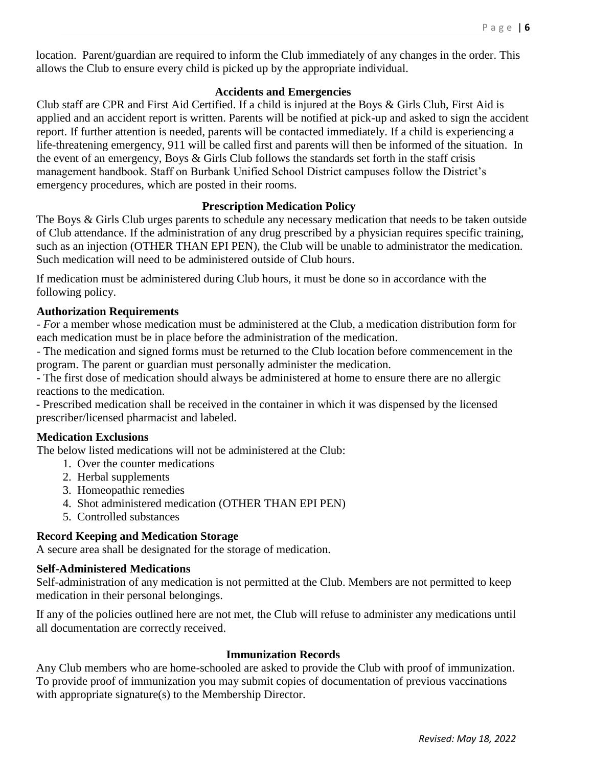location. Parent/guardian are required to inform the Club immediately of any changes in the order. This allows the Club to ensure every child is picked up by the appropriate individual.

## **Accidents and Emergencies**

Club staff are CPR and First Aid Certified. If a child is injured at the Boys & Girls Club, First Aid is applied and an accident report is written. Parents will be notified at pick-up and asked to sign the accident report. If further attention is needed, parents will be contacted immediately. If a child is experiencing a life-threatening emergency, 911 will be called first and parents will then be informed of the situation. In the event of an emergency, Boys & Girls Club follows the standards set forth in the staff crisis management handbook. Staff on Burbank Unified School District campuses follow the District's emergency procedures, which are posted in their rooms.

## **Prescription Medication Policy**

The Boys & Girls Club urges parents to schedule any necessary medication that needs to be taken outside of Club attendance. If the administration of any drug prescribed by a physician requires specific training, such as an injection (OTHER THAN EPI PEN), the Club will be unable to administrator the medication. Such medication will need to be administered outside of Club hours.

If medication must be administered during Club hours, it must be done so in accordance with the following policy.

## **Authorization Requirements**

- *Fo*r a member whose medication must be administered at the Club, a medication distribution form for each medication must be in place before the administration of the medication.

- The medication and signed forms must be returned to the Club location before commencement in the program. The parent or guardian must personally administer the medication.

- The first dose of medication should always be administered at home to ensure there are no allergic reactions to the medication.

**-** Prescribed medication shall be received in the container in which it was dispensed by the licensed prescriber/licensed pharmacist and labeled.

## **Medication Exclusions**

The below listed medications will not be administered at the Club:

- 1. Over the counter medications
- 2. Herbal supplements
- 3. Homeopathic remedies
- 4. Shot administered medication (OTHER THAN EPI PEN)
- 5. Controlled substances

## **Record Keeping and Medication Storage**

A secure area shall be designated for the storage of medication.

## **Self-Administered Medications**

Self-administration of any medication is not permitted at the Club. Members are not permitted to keep medication in their personal belongings.

If any of the policies outlined here are not met, the Club will refuse to administer any medications until all documentation are correctly received.

## **Immunization Records**

Any Club members who are home-schooled are asked to provide the Club with proof of immunization. To provide proof of immunization you may submit copies of documentation of previous vaccinations with appropriate signature(s) to the Membership Director.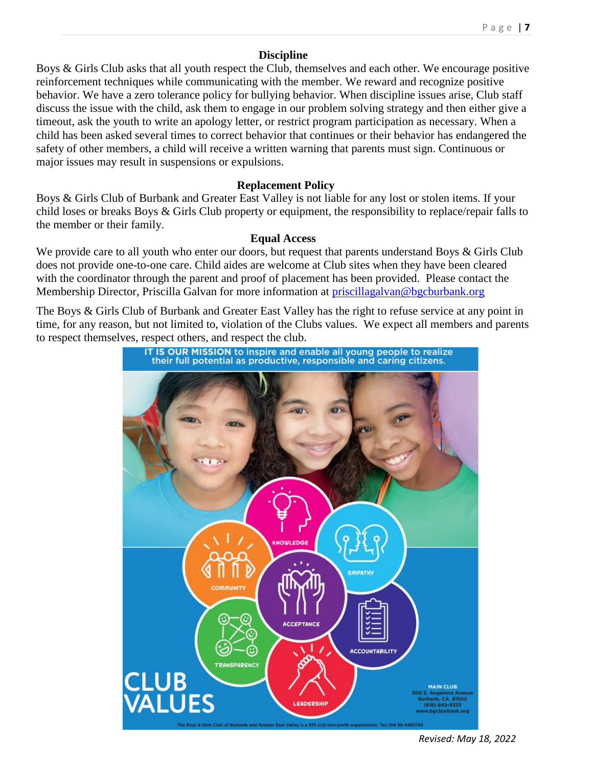### **Discipline**

Boys & Girls Club asks that all youth respect the Club, themselves and each other. We encourage positive reinforcement techniques while communicating with the member. We reward and recognize positive behavior. We have a zero tolerance policy for bullying behavior. When discipline issues arise, Club staff discuss the issue with the child, ask them to engage in our problem solving strategy and then either give a timeout, ask the youth to write an apology letter, or restrict program participation as necessary. When a child has been asked several times to correct behavior that continues or their behavior has endangered the safety of other members, a child will receive a written warning that parents must sign. Continuous or major issues may result in suspensions or expulsions.

#### **Replacement Policy**

Boys & Girls Club of Burbank and Greater East Valley is not liable for any lost or stolen items. If your child loses or breaks Boys & Girls Club property or equipment, the responsibility to replace/repair falls to the member or their family.

#### **Equal Access**

We provide care to all youth who enter our doors, but request that parents understand Boys & Girls Club does not provide one-to-one care. Child aides are welcome at Club sites when they have been cleared with the coordinator through the parent and proof of placement has been provided. Please contact the Membership Director, Priscilla Galvan for more information at [priscillagalvan@bgcburbank.org](mailto:priscillagalvan@bgcburbank.org)

The Boys & Girls Club of Burbank and Greater East Valley has the right to refuse service at any point in time, for any reason, but not limited to, violation of the [Clubs](https://www.lawinsider.com/clause/terms-of-this-agreement) values. We expect all members and parents to respect themselves, respect others, and respect the club.



*Revised: May 18, 2022*